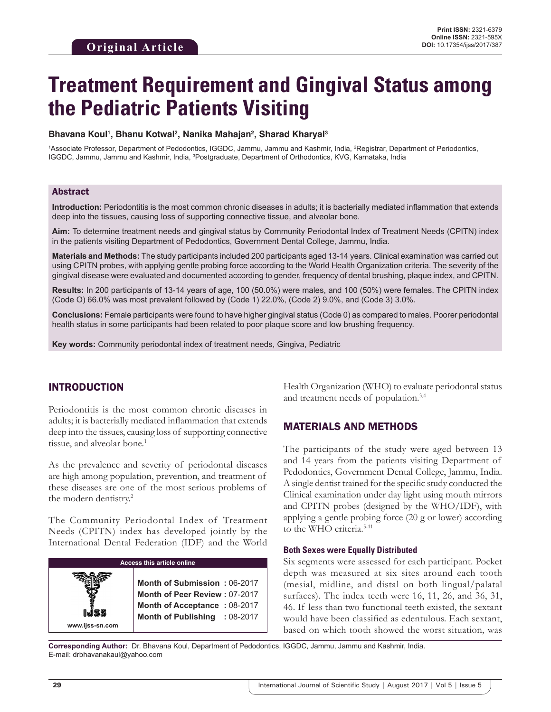# **Treatment Requirement and Gingival Status among the Pediatric Patients Visiting**

#### **Bhavana Koul1 , Bhanu Kotwal2 , Nanika Mahajan2 , Sharad Kharyal3**

<sup>1</sup>Associate Professor, Department of Pedodontics, IGGDC, Jammu, Jammu and Kashmir, India, <sup>2</sup>Registrar, Department of Periodontics, IGGDC, Jammu, Jammu and Kashmir, India, 3 Postgraduate, Department of Orthodontics, KVG, Karnataka, India

#### Abstract

**Introduction:** Periodontitis is the most common chronic diseases in adults; it is bacterially mediated inflammation that extends deep into the tissues, causing loss of supporting connective tissue, and alveolar bone.

**Aim:** To determine treatment needs and gingival status by Community Periodontal Index of Treatment Needs (CPITN) index in the patients visiting Department of Pedodontics, Government Dental College, Jammu, India.

**Materials and Methods:** The study participants included 200 participants aged 13-14 years. Clinical examination was carried out using CPITN probes, with applying gentle probing force according to the World Health Organization criteria. The severity of the gingival disease were evaluated and documented according to gender, frequency of dental brushing, plaque index, and CPITN.

**Results:** In 200 participants of 13-14 years of age, 100 (50.0%) were males, and 100 (50%) were females. The CPITN index (Code O) 66.0% was most prevalent followed by (Code 1) 22.0%, (Code 2) 9.0%, and (Code 3) 3.0%.

**Conclusions:** Female participants were found to have higher gingival status (Code 0) as compared to males. Poorer periodontal health status in some participants had been related to poor plaque score and low brushing frequency.

**Key words:** Community periodontal index of treatment needs, Gingiva, Pediatric

## INTRODUCTION

Periodontitis is the most common chronic diseases in adults; it is bacterially mediated inflammation that extends deep into the tissues, causing loss of supporting connective tissue, and alveolar bone.<sup>1</sup>

As the prevalence and severity of periodontal diseases are high among population, prevention, and treatment of these diseases are one of the most serious problems of the modern dentistry.<sup>2</sup>

The Community Periodontal Index of Treatment Needs (CPITN) index has developed jointly by the International Dental Federation (IDF) and the World

| <b>Access this article online</b> |                                                                                                                                |  |  |
|-----------------------------------|--------------------------------------------------------------------------------------------------------------------------------|--|--|
| ISS<br>www.ijss-sn.com            | Month of Submission: 06-2017<br>Month of Peer Review: 07-2017<br>Month of Acceptance: 08-2017<br>Month of Publishing : 08-2017 |  |  |

Health Organization (WHO) to evaluate periodontal status and treatment needs of population.3,4

### MATERIALS AND METHODS

The participants of the study were aged between 13 and 14 years from the patients visiting Department of Pedodontics, Government Dental College, Jammu, India. A single dentist trained for the specific study conducted the Clinical examination under day light using mouth mirrors and CPITN probes (designed by the WHO/IDF), with applying a gentle probing force (20 g or lower) according to the WHO criteria.<sup>5-11</sup>

#### **Both Sexes were Equally Distributed**

Six segments were assessed for each participant. Pocket depth was measured at six sites around each tooth (mesial, midline, and distal on both lingual/palatal surfaces). The index teeth were 16, 11, 26, and 36, 31, 46. If less than two functional teeth existed, the sextant would have been classified as edentulous. Each sextant, based on which tooth showed the worst situation, was

**Corresponding Author:** Dr. Bhavana Koul, Department of Pedodontics, IGGDC, Jammu, Jammu and Kashmir, India. E-mail: drbhavanakaul@yahoo.com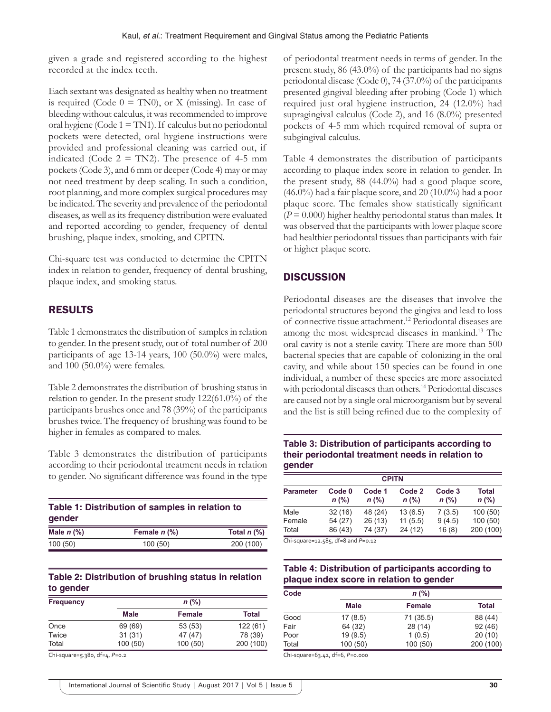given a grade and registered according to the highest recorded at the index teeth.

Each sextant was designated as healthy when no treatment is required (Code  $0 = TN0$ ), or X (missing). In case of bleeding without calculus, it was recommended to improve oral hygiene (Code  $1 = TM1$ ). If calculus but no periodontal pockets were detected, oral hygiene instructions were provided and professional cleaning was carried out, if indicated (Code  $2 = TN2$ ). The presence of 4-5 mm pockets (Code 3), and 6 mm or deeper (Code 4) may or may not need treatment by deep scaling. In such a condition, root planning, and more complex surgical procedures may be indicated. The severity and prevalence of the periodontal diseases, as well as its frequency distribution were evaluated and reported according to gender, frequency of dental brushing, plaque index, smoking, and CPITN.

Chi-square test was conducted to determine the CPITN index in relation to gender, frequency of dental brushing, plaque index, and smoking status.

# RESULTS

Table 1 demonstrates the distribution of samples in relation to gender. In the present study, out of total number of 200 participants of age 13-14 years, 100 (50.0%) were males, and 100 (50.0%) were females.

Table 2 demonstrates the distribution of brushing status in relation to gender. In the present study 122(61.0%) of the participants brushes once and 78 (39%) of the participants brushes twice. The frequency of brushing was found to be higher in females as compared to males.

Table 3 demonstrates the distribution of participants according to their periodontal treatment needs in relation to gender. No significant difference was found in the type

| Table 1: Distribution of samples in relation to<br>gender |                |                                      |  |  |
|-----------------------------------------------------------|----------------|--------------------------------------|--|--|
| Male $n$ $\%$ )                                           | Female $n$ (%) | Total $n$ $\left(\frac{9}{6}\right)$ |  |  |
| 100(50)                                                   | 100(50)        | 200 (100)                            |  |  |

## **Table 2: Distribution of brushing status in relation to gender**

| <b>Frequency</b> |         | $n$ (%)       |           |
|------------------|---------|---------------|-----------|
|                  | Male    | <b>Female</b> | Total     |
| Once             | 69 (69) | 53 (53)       | 122(61)   |
| Twice            | 31(31)  | 47 (47)       | 78 (39)   |
| Total            | 100(50) | 100(50)       | 200 (100) |

Chi‑square=5.380, df=4, *P*=0.2

of periodontal treatment needs in terms of gender. In the present study, 86 (43.0%) of the participants had no signs periodontal disease (Code 0), 74 (37.0%) of the participants presented gingival bleeding after probing (Code 1) which required just oral hygiene instruction, 24 (12.0%) had supragingival calculus (Code 2), and 16 (8.0%) presented pockets of 4-5 mm which required removal of supra or subgingival calculus.

Table 4 demonstrates the distribution of participants according to plaque index score in relation to gender. In the present study, 88 (44.0%) had a good plaque score, (46.0%) had a fair plaque score, and 20 (10.0%) had a poor plaque score. The females show statistically significant  $(P = 0.000)$  higher healthy periodontal status than males. It was observed that the participants with lower plaque score had healthier periodontal tissues than participants with fair or higher plaque score.

# **DISCUSSION**

Periodontal diseases are the diseases that involve the periodontal structures beyond the gingiva and lead to loss of connective tissue attachment.12 Periodontal diseases are among the most widespread diseases in mankind.13 The oral cavity is not a sterile cavity. There are more than 500 bacterial species that are capable of colonizing in the oral cavity, and while about 150 species can be found in one individual, a number of these species are more associated with periodontal diseases than others.<sup>14</sup> Periodontal diseases are caused not by a single oral microorganism but by several and the list is still being refined due to the complexity of

### **Table 3: Distribution of participants according to their periodontal treatment needs in relation to gender**

| <b>CPITN</b>     |                              |                   |                   |                   |                         |
|------------------|------------------------------|-------------------|-------------------|-------------------|-------------------------|
| <b>Parameter</b> | Code <sub>0</sub><br>$n$ (%) | Code 1<br>$n$ (%) | Code 2<br>$n$ (%) | Code 3<br>$n$ (%) | <b>Total</b><br>$n$ (%) |
| Male             | 32(16)                       | 48 (24)           | 13(6.5)           | 7(3.5)            | 100(50)                 |
| Female           | 54 (27)                      | 26 (13)           | 11(5.5)           | 9(4.5)            | 100(50)                 |
| Total            | 86 (43)                      | 74 (37)           | 24 (12)           | 16(8)             | 200 (100)               |

Chi‑square=12.585, df=8 and *P*=0.12

## **Table 4: Distribution of participants according to plaque index score in relation to gender**

| Code  |         | $n$ (%)       |              |
|-------|---------|---------------|--------------|
|       | Male    | <b>Female</b> | <b>Total</b> |
| Good  | 17(8.5) | 71 (35.5)     | 88 (44)      |
| Fair  | 64 (32) | 28 (14)       | 92(46)       |
| Poor  | 19(9.5) | 1(0.5)        | 20(10)       |
| Total | 100(50) | 100(50)       | 200 (100)    |

Chi‑square=63.42, df=6, *P*=0.000